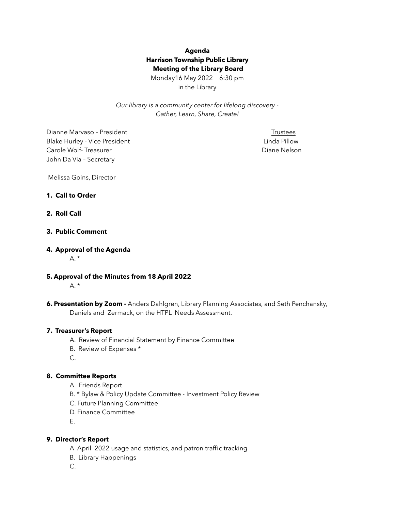# **Agenda Harrison Township Public Library Meeting of the Library Board**

Monday16 May 2022 6:30 pm in the Library

*Our library is a community center for lifelong discovery - Gather, Learn, Share, Create!* 

Dianne Marvaso – President Trustees Blake Hurley - Vice President Linda Pillow **Linda Pillow Carole Wolf-Treasurer Carole Wolf-Treasurer Carole Wolf-Treasurer Carole Nelson** John Da Via – Secretary

Melissa Goins, Director

### **1. Call to Order**

## **2. Roll Call**

## **3. Public Comment**

#### **4. Approval of the Agenda**

 $A^*$ 

**5. Approval of the Minutes from 18 April 2022** 

 $A.$ \*

**6. Presentation by Zoom -** Anders Dahlgren, Library Planning Associates, and Seth Penchansky, Daniels and Zermack, on the HTPL Needs Assessment.

#### **7. Treasurer's Report**

- A. Review of Financial Statement by Finance Committee
- B. Review of Expenses \*
- C.

## **8. Committee Reports**

- A. Friends Report
- B. \* Bylaw & Policy Update Committee Investment Policy Review
- C. Future Planning Committee
- D. Finance Committee
- E.

#### **9. Director's Report**

- A April 2022 usage and statistics, and patron traffic tracking
- B. Library Happenings

C.